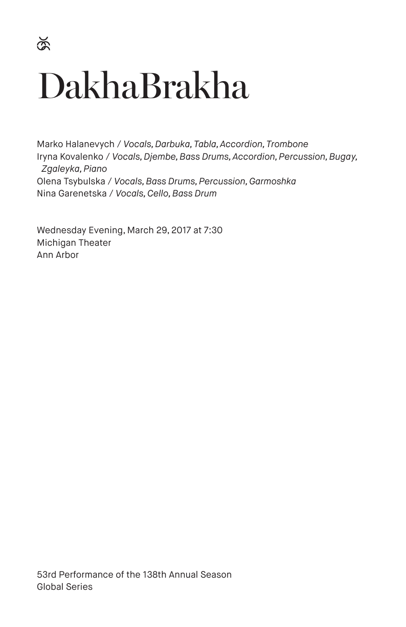# DakhaBrakha

Marko Halanevych / *Vocals, Darbuka, Tabla, Accordion, Trombone* Iryna Kovalenko / *Vocals, Djembe, Bass Drums, Accordion, Percussion, Bugay, Zgaleyka, Piano* Olena Tsybulska / *Vocals, Bass Drums, Percussion, Garmoshka* Nina Garenetska / *Vocals, Cello, Bass Drum*

Wednesday Evening, March 29, 2017 at 7:30 Michigan Theater Ann Arbor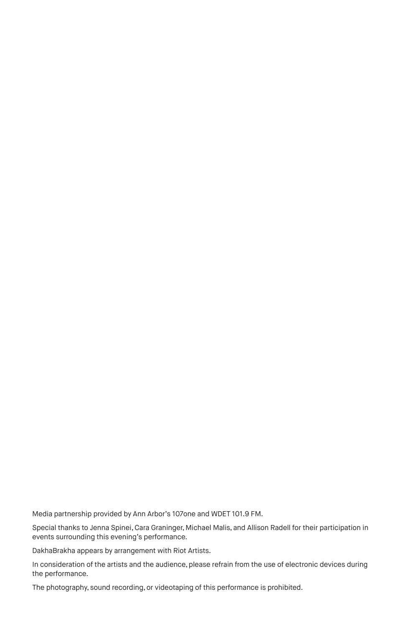Media partnership provided by Ann Arbor's 107one and WDET 101.9 FM.

Special thanks to Jenna Spinei, Cara Graninger, Michael Malis, and Allison Radell for their participation in events surrounding this evening's performance.

DakhaBrakha appears by arrangement with Riot Artists.

In consideration of the artists and the audience, please refrain from the use of electronic devices during the performance.

The photography, sound recording, or videotaping of this performance is prohibited.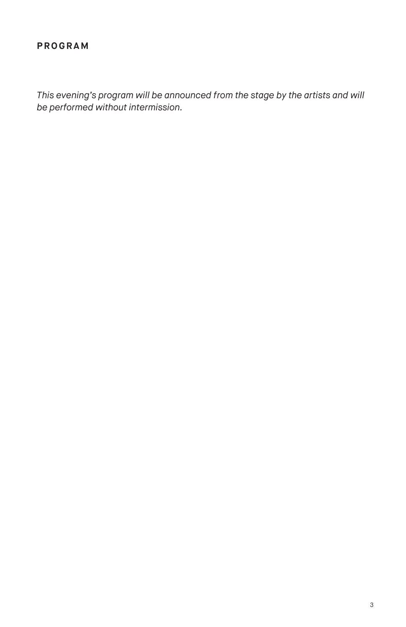### **PROGRAM**

*This evening's program will be announced from the stage by the artists and will be performed without intermission.*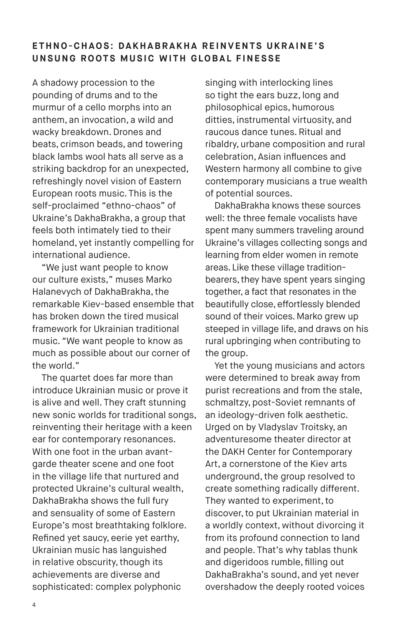## ETHNO-CHAOS: DAKHABRAKHA REINVENTS UKRAINE'S **UNSUNG ROOTS MUSIC WITH GLOBAL FINESSE**

A shadowy procession to the pounding of drums and to the murmur of a cello morphs into an anthem, an invocation, a wild and wacky breakdown. Drones and beats, crimson beads, and towering black lambs wool hats all serve as a striking backdrop for an unexpected, refreshingly novel vision of Eastern European roots music. This is the self-proclaimed "ethno-chaos" of Ukraine's DakhaBrakha, a group that feels both intimately tied to their homeland, yet instantly compelling for international audience.

"We just want people to know our culture exists," muses Marko Halanevych of DakhaBrakha, the remarkable Kiev-based ensemble that has broken down the tired musical framework for Ukrainian traditional music. "We want people to know as much as possible about our corner of the world."

The quartet does far more than introduce Ukrainian music or prove it is alive and well. They craft stunning new sonic worlds for traditional songs, reinventing their heritage with a keen ear for contemporary resonances. With one foot in the urban avantgarde theater scene and one foot in the village life that nurtured and protected Ukraine's cultural wealth, DakhaBrakha shows the full fury and sensuality of some of Eastern Europe's most breathtaking folklore. Refined yet saucy, eerie yet earthy, Ukrainian music has languished in relative obscurity, though its achievements are diverse and sophisticated: complex polyphonic

singing with interlocking lines so tight the ears buzz, long and philosophical epics, humorous ditties, instrumental virtuosity, and raucous dance tunes. Ritual and ribaldry, urbane composition and rural celebration, Asian influences and Western harmony all combine to give contemporary musicians a true wealth of potential sources.

DakhaBrakha knows these sources well: the three female vocalists have spent many summers traveling around Ukraine's villages collecting songs and learning from elder women in remote areas. Like these village traditionbearers, they have spent years singing together, a fact that resonates in the beautifully close, effortlessly blended sound of their voices. Marko grew up steeped in village life, and draws on his rural upbringing when contributing to the group.

Yet the young musicians and actors were determined to break away from purist recreations and from the stale, schmaltzy, post-Soviet remnants of an ideology-driven folk aesthetic. Urged on by Vladyslav Troitsky, an adventuresome theater director at the DAKH Center for Contemporary Art, a cornerstone of the Kiev arts underground, the group resolved to create something radically different. They wanted to experiment, to discover, to put Ukrainian material in a worldly context, without divorcing it from its profound connection to land and people. That's why tablas thunk and digeridoos rumble, filling out DakhaBrakha's sound, and yet never overshadow the deeply rooted voices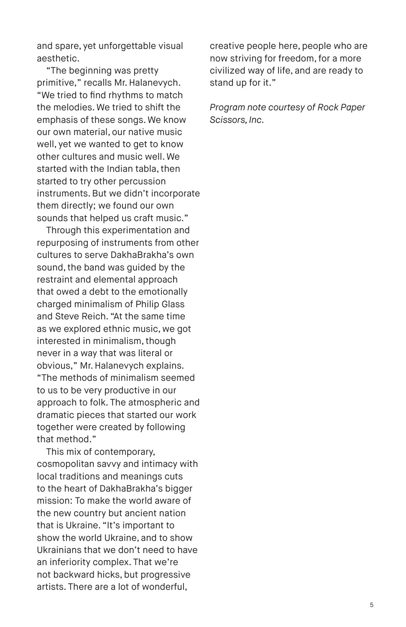and spare, yet unforgettable visual aesthetic.

"The beginning was pretty primitive," recalls Mr. Halanevych. "We tried to find rhythms to match the melodies. We tried to shift the emphasis of these songs. We know our own material, our native music well, yet we wanted to get to know other cultures and music well. We started with the Indian tabla, then started to try other percussion instruments. But we didn't incorporate them directly; we found our own sounds that helped us craft music."

Through this experimentation and repurposing of instruments from other cultures to serve DakhaBrakha's own sound, the band was guided by the restraint and elemental approach that owed a debt to the emotionally charged minimalism of Philip Glass and Steve Reich. "At the same time as we explored ethnic music, we got interested in minimalism, though never in a way that was literal or obvious," Mr. Halanevych explains. "The methods of minimalism seemed to us to be very productive in our approach to folk. The atmospheric and dramatic pieces that started our work together were created by following that method."

This mix of contemporary, cosmopolitan savvy and intimacy with local traditions and meanings cuts to the heart of DakhaBrakha's bigger mission: To make the world aware of the new country but ancient nation that is Ukraine. "It's important to show the world Ukraine, and to show Ukrainians that we don't need to have an inferiority complex. That we're not backward hicks, but progressive artists. There are a lot of wonderful,

creative people here, people who are now striving for freedom, for a more civilized way of life, and are ready to stand up for it."

*Program note courtesy of Rock Paper Scissors, Inc.*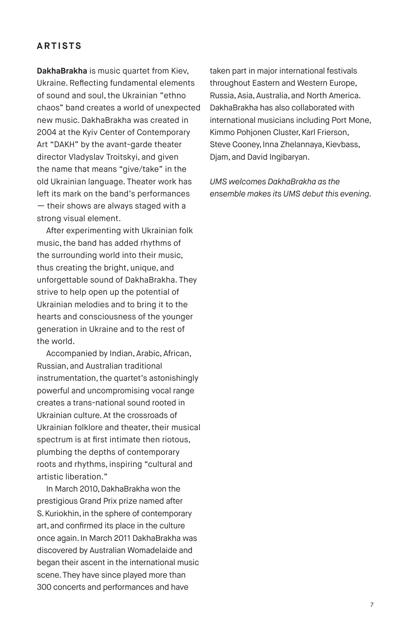### **ARTISTS**

**DakhaBrakha** is music quartet from Kiev, Ukraine. Reflecting fundamental elements of sound and soul, the Ukrainian "ethno chaos" band creates a world of unexpected new music. DakhaBrakha was created in 2004 at the Kyiv Center of Contemporary Art "DAKH" by the avant-garde theater director Vladyslav Troitskyi, and given the name that means "give/take" in the old Ukrainian language. Theater work has left its mark on the band's performances — their shows are always staged with a strong visual element.

After experimenting with Ukrainian folk music, the band has added rhythms of the surrounding world into their music, thus creating the bright, unique, and unforgettable sound of DakhaBrakha. They strive to help open up the potential of Ukrainian melodies and to bring it to the hearts and consciousness of the younger generation in Ukraine and to the rest of the world.

Accompanied by Indian, Arabic, African, Russian, and Australian traditional instrumentation, the quartet's astonishingly powerful and uncompromising vocal range creates a trans-national sound rooted in Ukrainian culture. At the crossroads of Ukrainian folklore and theater, their musical spectrum is at first intimate then riotous, plumbing the depths of contemporary roots and rhythms, inspiring "cultural and artistic liberation."

In March 2010, DakhaBrakha won the prestigious Grand Prix prize named after S. Kuriokhin, in the sphere of contemporary art, and confirmed its place in the culture once again. In March 2011 DakhaBrakha was discovered by Australian Womadelaide and began their ascent in the international music scene. They have since played more than 300 concerts and performances and have

taken part in major international festivals throughout Eastern and Western Europe, Russia, Asia, Australia, and North America. DakhaBrakha has also collaborated with international musicians including Port Mone, Kimmo Pohjonen Cluster, Karl Frierson, Steve Cooney, Inna Zhelannaya, Kievbass, Djam, and David Ingibaryan.

*UMS welcomes DakhaBrakha as the ensemble makes its UMS debut this evening.*